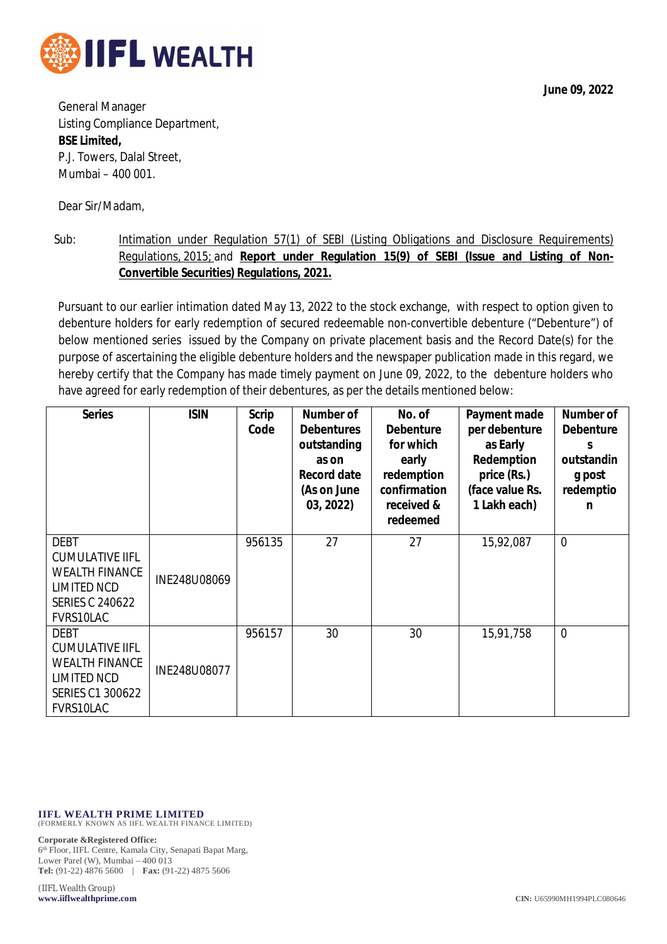

**June 09, 2022**

General Manager Listing Compliance Department, **BSE Limited,** P.J. Towers, Dalal Street, Mumbai – 400 001.

Dear Sir/Madam,

Sub: Intimation under Regulation 57(1) of SEBI (Listing Obligations and Disclosure Requirements) Regulations, 2015; and **Report under Regulation 15(9) of SEBI (Issue and Listing of Non-Convertible Securities) Regulations, 2021.**

Pursuant to our earlier intimation dated May 13, 2022 to the stock exchange, with respect to option given to debenture holders for early redemption of secured redeemable non-convertible debenture ("Debenture") of below mentioned series issued by the Company on private placement basis and the Record Date(s) for the purpose of ascertaining the eligible debenture holders and the newspaper publication made in this regard, we hereby certify that the Company has made timely payment on June 09, 2022, to the debenture holders who have agreed for early redemption of their debentures, as per the details mentioned below:

| <b>Series</b>                                                                                                               | <b>ISIN</b>  | <b>Scrip</b><br>Code | Number of<br><b>Debentures</b><br>outstanding<br>as on<br><b>Record date</b><br>(As on June<br>03, 2022) | No. of<br><b>Debenture</b><br>for which<br>early<br>redemption<br>confirmation<br>received &<br>redeemed | Payment made<br>per debenture<br>as Early<br>Redemption<br>price (Rs.)<br>(face value Rs.<br>1 Lakh each) | <b>Number of</b><br><b>Debenture</b><br>S<br>outstandin<br>g post<br>redemptio<br>n |
|-----------------------------------------------------------------------------------------------------------------------------|--------------|----------------------|----------------------------------------------------------------------------------------------------------|----------------------------------------------------------------------------------------------------------|-----------------------------------------------------------------------------------------------------------|-------------------------------------------------------------------------------------|
| <b>DEBT</b><br><b>CUMULATIVE IIFL</b><br><b>WEALTH FINANCE</b><br><b>LIMITED NCD</b><br><b>SERIES C 240622</b><br>FVRS10LAC | INE248U08069 | 956135               | 27                                                                                                       | 27                                                                                                       | 15,92,087                                                                                                 | $\overline{0}$                                                                      |
| <b>DEBT</b><br><b>CUMULATIVE IIFL</b><br><b>WEALTH FINANCE</b><br>LIMITED NCD<br>SERIES C1 300622<br>FVRS10LAC              | INE248U08077 | 956157               | 30                                                                                                       | 30                                                                                                       | 15,91,758                                                                                                 | $\overline{0}$                                                                      |

**IIFL WEALTH PRIME LIMITED** (FORMERLY KNOWN AS IIFL WEALTH FINANCE LIMITED)

**Corporate &Registered Office:**

6 th Floor, IIFL Centre, Kamala City, Senapati Bapat Marg, Lower Parel (W), Mumbai – 400 013 **Tel:** (91-22) 4876 5600 | **Fax:** (91-22) 4875 5606

(IIFL Wealth Group)